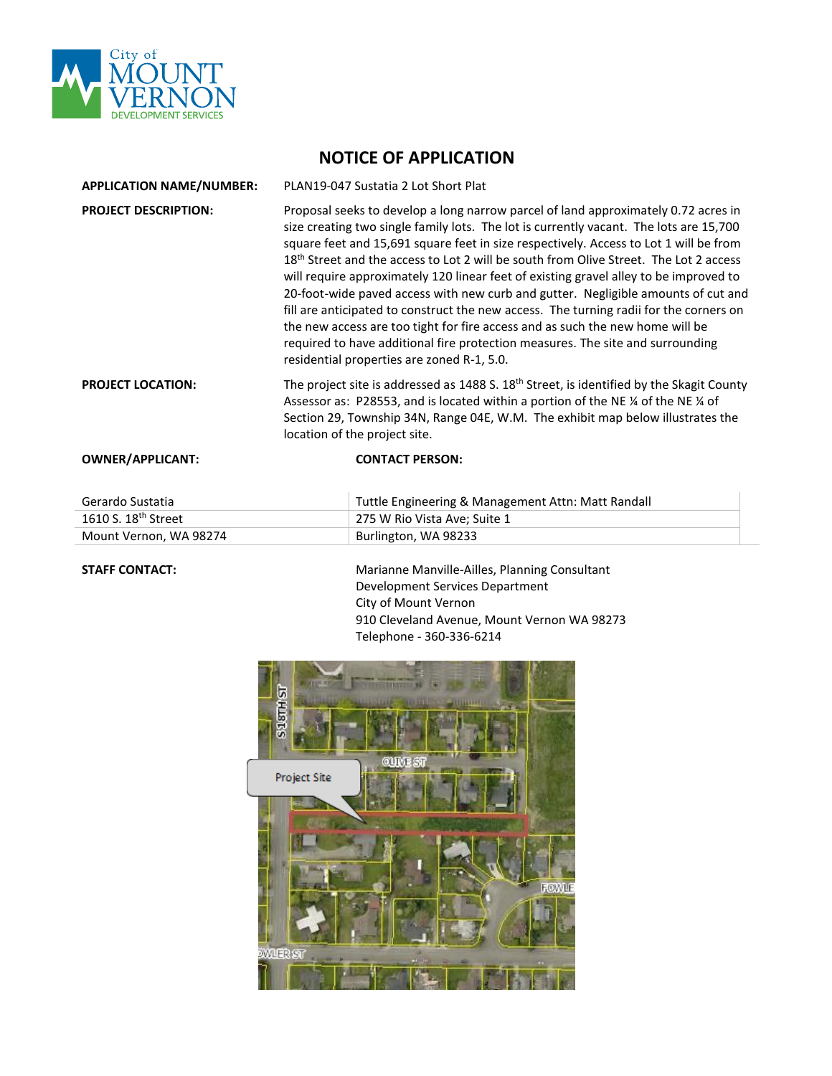

## **NOTICE OF APPLICATION**

| <b>APPLICATION NAME/NUMBER:</b> | PLAN19-047 Sustatia 2 Lot Short Plat                                                                                                                                                                                                                                                                                                                                                                                                                                                                                                                                                                                                                                                                                                                                                                                                                                |
|---------------------------------|---------------------------------------------------------------------------------------------------------------------------------------------------------------------------------------------------------------------------------------------------------------------------------------------------------------------------------------------------------------------------------------------------------------------------------------------------------------------------------------------------------------------------------------------------------------------------------------------------------------------------------------------------------------------------------------------------------------------------------------------------------------------------------------------------------------------------------------------------------------------|
| <b>PROJECT DESCRIPTION:</b>     | Proposal seeks to develop a long narrow parcel of land approximately 0.72 acres in<br>size creating two single family lots. The lot is currently vacant. The lots are 15,700<br>square feet and 15,691 square feet in size respectively. Access to Lot 1 will be from<br>18 <sup>th</sup> Street and the access to Lot 2 will be south from Olive Street. The Lot 2 access<br>will require approximately 120 linear feet of existing gravel alley to be improved to<br>20-foot-wide paved access with new curb and gutter. Negligible amounts of cut and<br>fill are anticipated to construct the new access. The turning radii for the corners on<br>the new access are too tight for fire access and as such the new home will be<br>required to have additional fire protection measures. The site and surrounding<br>residential properties are zoned R-1, 5.0. |
| <b>PROJECT LOCATION:</b>        | The project site is addressed as 1488 S. $18th$ Street, is identified by the Skagit County<br>Assessor as: P28553, and is located within a portion of the NE 1/4 of the NE 1/4 of<br>Section 29, Township 34N, Range 04E, W.M. The exhibit map below illustrates the<br>location of the project site.                                                                                                                                                                                                                                                                                                                                                                                                                                                                                                                                                               |
| <b>OWNER/APPLICANT:</b>         | <b>CONTACT PERSON:</b>                                                                                                                                                                                                                                                                                                                                                                                                                                                                                                                                                                                                                                                                                                                                                                                                                                              |

| Gerardo Sustatia                | Tuttle Engineering & Management Attn: Matt Randall |
|---------------------------------|----------------------------------------------------|
| 1610 S. 18 <sup>th</sup> Street | 275 W Rio Vista Ave: Suite 1                       |
| Mount Vernon, WA 98274          | Burlington, WA 98233                               |

STAFF CONTACT: **Marianne Manville-Ailles, Planning Consultant** Development Services Department City of Mount Vernon 910 Cleveland Avenue, Mount Vernon WA 98273 Telephone - 360-336-6214